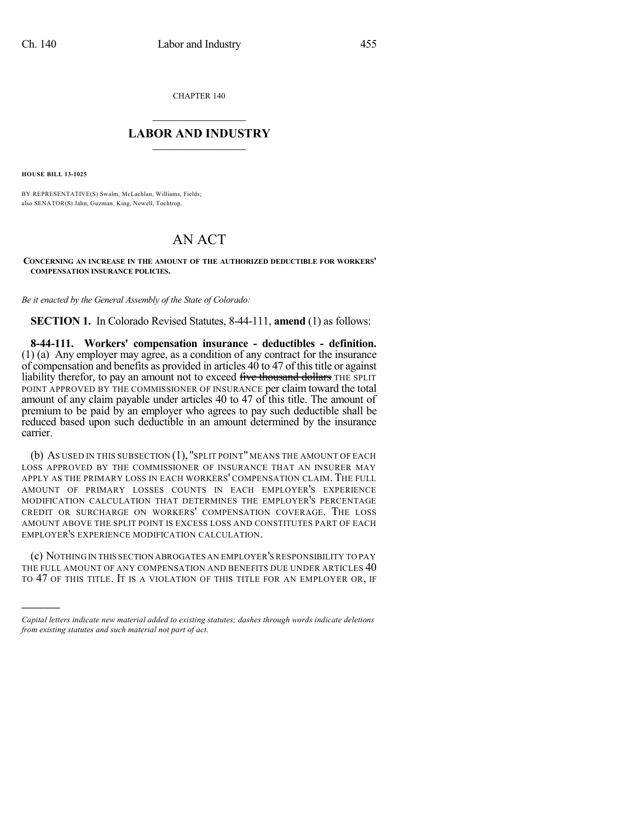CHAPTER 140

## $\mathcal{L}_\text{max}$  . The set of the set of the set of the set of the set of the set of the set of the set of the set of the set of the set of the set of the set of the set of the set of the set of the set of the set of the set **LABOR AND INDUSTRY**  $\frac{1}{\sqrt{2}}$  ,  $\frac{1}{\sqrt{2}}$  ,  $\frac{1}{\sqrt{2}}$  ,  $\frac{1}{\sqrt{2}}$  ,  $\frac{1}{\sqrt{2}}$  ,  $\frac{1}{\sqrt{2}}$

**HOUSE BILL 13-1025**

)))))

BY REPRESENTATIVE(S) Swalm, McLachlan, Williams, Fields; also SENATOR(S) Jahn, Guzman, King, Newell, Tochtrop.

## AN ACT

**CONCERNING AN INCREASE IN THE AMOUNT OF THE AUTHORIZED DEDUCTIBLE FOR WORKERS' COMPENSATION INSURANCE POLICIES.**

*Be it enacted by the General Assembly of the State of Colorado:*

**SECTION 1.** In Colorado Revised Statutes, 8-44-111, **amend** (1) as follows:

**8-44-111. Workers' compensation insurance - deductibles - definition.** (1) (a) Any employer may agree, as a condition of any contract for the insurance of compensation and benefits as provided in articles  $40$  to  $47$  of this title or against liability therefor, to pay an amount not to exceed five thousand dollars THE SPLIT POINT APPROVED BY THE COMMISSIONER OF INSURANCE per claim toward the total amount of any claim payable under articles 40 to 47 of this title. The amount of premium to be paid by an employer who agrees to pay such deductible shall be reduced based upon such deductible in an amount determined by the insurance carrier.

(b) AS USED IN THIS SUBSECTION (1), "SPLIT POINT" MEANS THE AMOUNT OF EACH LOSS APPROVED BY THE COMMISSIONER OF INSURANCE THAT AN INSURER MAY APPLY AS THE PRIMARY LOSS IN EACH WORKERS' COMPENSATION CLAIM. THE FULL AMOUNT OF PRIMARY LOSSES COUNTS IN EACH EMPLOYER'S EXPERIENCE MODIFICATION CALCULATION THAT DETERMINES THE EMPLOYER'S PERCENTAGE CREDIT OR SURCHARGE ON WORKERS' COMPENSATION COVERAGE. THE LOSS AMOUNT ABOVE THE SPLIT POINT IS EXCESS LOSS AND CONSTITUTES PART OF EACH EMPLOYER'S EXPERIENCE MODIFICATION CALCULATION.

(c) NOTHING IN THIS SECTION ABROGATES AN EMPLOYER'S RESPONSIBILITY TO PAY THE FULL AMOUNT OF ANY COMPENSATION AND BENEFITS DUE UNDER ARTICLES  $40$ TO 47 OF THIS TITLE. IT IS A VIOLATION OF THIS TITLE FOR AN EMPLOYER OR, IF

*Capital letters indicate new material added to existing statutes; dashes through words indicate deletions from existing statutes and such material not part of act.*